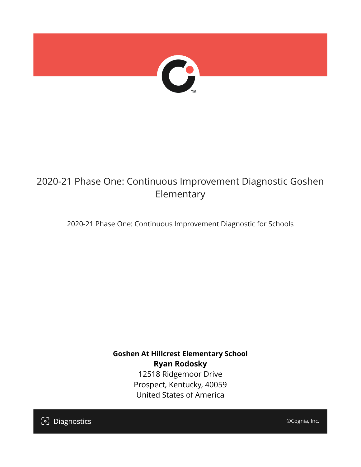

# 2020-21 Phase One: Continuous Improvement Diagnostic Goshen Elementary

2020-21 Phase One: Continuous Improvement Diagnostic for Schools

**Goshen At Hillcrest Elementary School Ryan Rodosky** 12518 Ridgemoor Drive Prospect, Kentucky, 40059 United States of America

[၁] Diagnostics

©Cognia, Inc.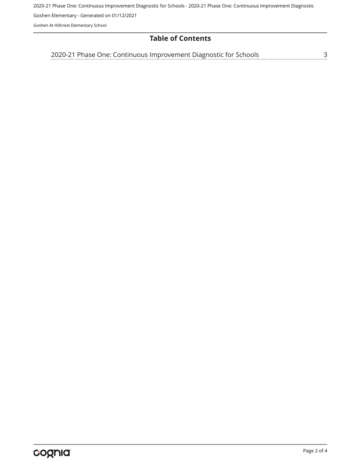2020-21 Phase One: Continuous Improvement Diagnostic for Schools - 2020-21 Phase One: Continuous Improvement Diagnostic

Goshen Elementary - Generated on 01/12/2021

Goshen At Hillcrest Elementary School

#### **Table of Contents**

<u>[3](#page-2-0)</u> [2020-21 Phase One: Continuous Improvement Diagnostic for Schools](#page-2-0)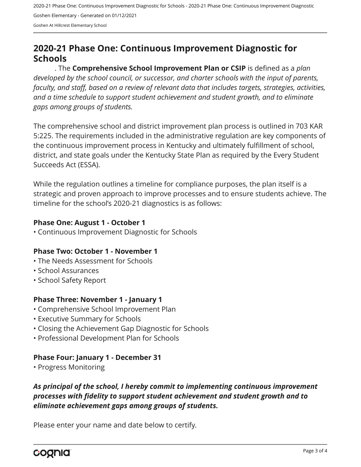2020-21 Phase One: Continuous Improvement Diagnostic for Schools - 2020-21 Phase One: Continuous Improvement Diagnostic Goshen Elementary - Generated on 01/12/2021

Goshen At Hillcrest Elementary School

# <span id="page-2-0"></span>**2020-21 Phase One: Continuous Improvement Diagnostic for Schools**

. The **Comprehensive School Improvement Plan or CSIP** is defined as a *plan developed by the school council, or successor, and charter schools with the input of parents, faculty, and staff, based on a review of relevant data that includes targets, strategies, activities, and a time schedule to support student achievement and student growth, and to eliminate gaps among groups of students.*

The comprehensive school and district improvement plan process is outlined in 703 KAR 5:225. The requirements included in the administrative regulation are key components of the continuous improvement process in Kentucky and ultimately fulfillment of school, district, and state goals under the Kentucky State Plan as required by the Every Student Succeeds Act (ESSA).

While the regulation outlines a timeline for compliance purposes, the plan itself is a strategic and proven approach to improve processes and to ensure students achieve. The timeline for the school's 2020-21 diagnostics is as follows:

#### **Phase One: August 1 - October 1**

• Continuous Improvement Diagnostic for Schools

#### **Phase Two: October 1 - November 1**

- The Needs Assessment for Schools
- School Assurances
- School Safety Report

#### **Phase Three: November 1 - January 1**

- Comprehensive School Improvement Plan
- Executive Summary for Schools
- Closing the Achievement Gap Diagnostic for Schools
- Professional Development Plan for Schools

## **Phase Four: January 1 - December 31**

• Progress Monitoring

## *As principal of the school, I hereby commit to implementing continuous improvement processes with fidelity to support student achievement and student growth and to eliminate achievement gaps among groups of students.*

Please enter your name and date below to certify.